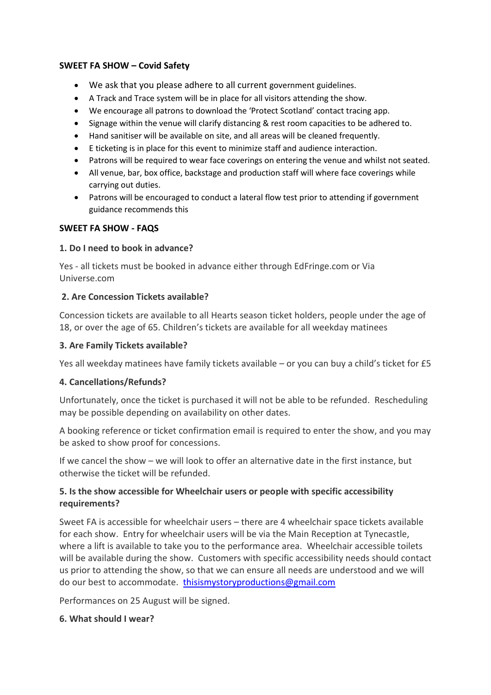#### **SWEET FA SHOW – Covid Safety**

- We ask that you please adhere to all current government guidelines.
- A Track and Trace system will be in place for all visitors attending the show.
- We encourage all patrons to download the 'Protect Scotland' contact tracing app.
- Signage within the venue will clarify distancing & rest room capacities to be adhered to.
- Hand sanitiser will be available on site, and all areas will be cleaned frequently.
- E ticketing is in place for this event to minimize staff and audience interaction.
- Patrons will be required to wear face coverings on entering the venue and whilst not seated.
- All venue, bar, box office, backstage and production staff will where face coverings while carrying out duties.
- Patrons will be encouraged to conduct a lateral flow test prior to attending if government guidance recommends this

#### **SWEET FA SHOW - FAQS**

### **1. Do I need to book in advance?**

Yes - all tickets must be booked in advance either through EdFringe.com or Via Universe.com

### **2. Are Concession Tickets available?**

Concession tickets are available to all Hearts season ticket holders, people under the age of 18, or over the age of 65. Children's tickets are available for all weekday matinees

### **3. Are Family Tickets available?**

Yes all weekday matinees have family tickets available – or you can buy a child's ticket for £5

#### **4. Cancellations/Refunds?**

Unfortunately, once the ticket is purchased it will not be able to be refunded. Rescheduling may be possible depending on availability on other dates.

A booking reference or ticket confirmation email is required to enter the show, and you may be asked to show proof for concessions.

If we cancel the show – we will look to offer an alternative date in the first instance, but otherwise the ticket will be refunded.

## **5. Is the show accessible for Wheelchair users or people with specific accessibility requirements?**

Sweet FA is accessible for wheelchair users – there are 4 wheelchair space tickets available for each show. Entry for wheelchair users will be via the Main Reception at Tynecastle, where a lift is available to take you to the performance area. Wheelchair accessible toilets will be available during the show. Customers with specific accessibility needs should contact us prior to attending the show, so that we can ensure all needs are understood and we will do our best to accommodate. [thisismystoryproductions@gmail.com](mailto:thisismystoryproductions@gmail.com)

Performances on 25 August will be signed.

#### **6. What should I wear?**